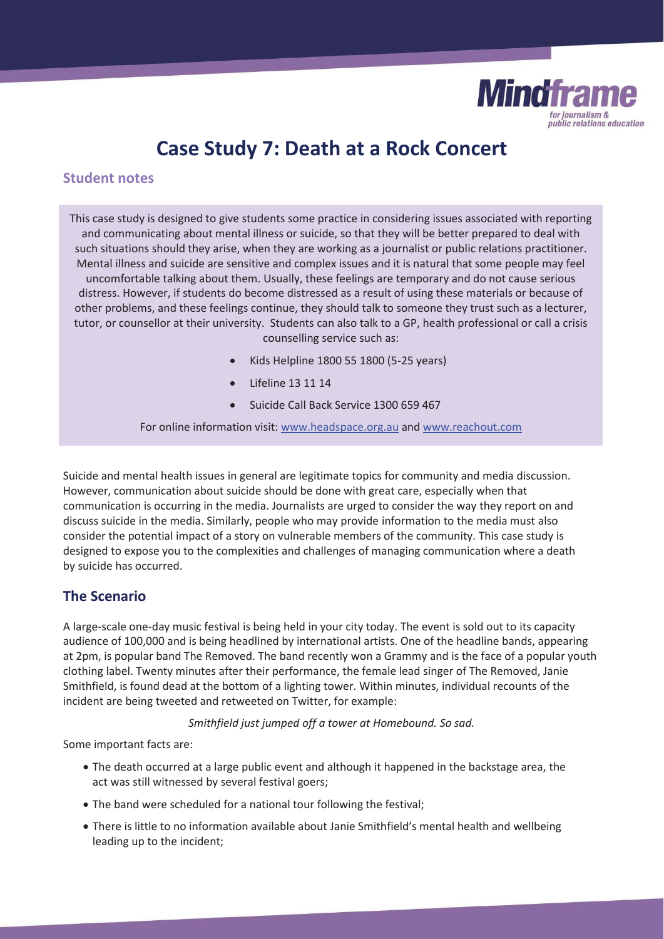

# **Case Study 7: Death at a Rock Concert**

# **Student notes**

This case study is designed to give students some practice in considering issues associated with reporting and communicating about mental illness or suicide, so that they will be better prepared to deal with such situations should they arise, when they are working as a journalist or public relations practitioner. Mental illness and suicide are sensitive and complex issues and it is natural that some people may feel uncomfortable talking about them. Usually, these feelings are temporary and do not cause serious distress. However, if students do become distressed as a result of using these materials or because of other problems, and these feelings continue, they should talk to someone they trust such as a lecturer, tutor, or counsellor at their university. Students can also talk to a GP, health professional or call a crisis counselling service such as:

- x Kids Helpline 1800 55 1800 (5-25 years)
- Lifeline 13 11 14
- Suicide Call Back Service 1300 659 467

For online information visit: www.headspace.org.au and www.reachout.com

Suicide and mental health issues in general are legitimate topics for community and media discussion. However, communication about suicide should be done with great care, especially when that communication is occurring in the media. Journalists are urged to consider the way they report on and discuss suicide in the media. Similarly, people who may provide information to the media must also consider the potential impact of a story on vulnerable members of the community. This case study is designed to expose you to the complexities and challenges of managing communication where a death by suicide has occurred.

# **The Scenario**

A large-scale one-day music festival is being held in your city today. The event is sold out to its capacity audience of 100,000 and is being headlined by international artists. One of the headline bands, appearing at 2pm, is popular band The Removed. The band recently won a Grammy and is the face of a popular youth clothing label. Twenty minutes after their performance, the female lead singer of The Removed, Janie Smithfield, is found dead at the bottom of a lighting tower. Within minutes, individual recounts of the incident are being tweeted and retweeted on Twitter, for example:

*Smithfield just jumped off a tower at Homebound. So sad.* 

Some important facts are:

- The death occurred at a large public event and although it happened in the backstage area, the act was still witnessed by several festival goers;
- The band were scheduled for a national tour following the festival;
- There is little to no information available about Janie Smithfield's mental health and wellbeing leading up to the incident;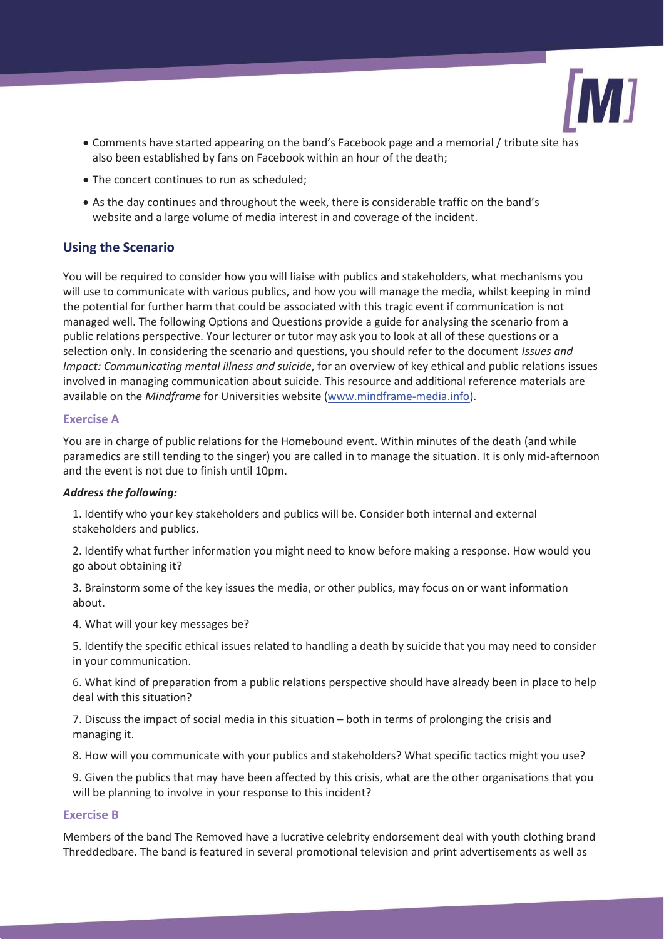

- x Comments have started appearing on the band's Facebook page and a memorial / tribute site has also been established by fans on Facebook within an hour of the death;
- The concert continues to run as scheduled;
- As the day continues and throughout the week, there is considerable traffic on the band's website and a large volume of media interest in and coverage of the incident.

# **Using the Scenario**

You will be required to consider how you will liaise with publics and stakeholders, what mechanisms you will use to communicate with various publics, and how you will manage the media, whilst keeping in mind the potential for further harm that could be associated with this tragic event if communication is not managed well. The following Options and Questions provide a guide for analysing the scenario from a public relations perspective. Your lecturer or tutor may ask you to look at all of these questions or a selection only. In considering the scenario and questions, you should refer to the document *Issues and Impact: Communicating mental illness and suicide*, for an overview of key ethical and public relations issues involved in managing communication about suicide. This resource and additional reference materials are available on the *Mindframe* for Universities website (www.mindframe-media.info).

#### **Exercise A**

You are in charge of public relations for the Homebound event. Within minutes of the death (and while paramedics are still tending to the singer) you are called in to manage the situation. It is only mid-afternoon and the event is not due to finish until 10pm.

#### *Address the following:*

1. Identify who your key stakeholders and publics will be. Consider both internal and external stakeholders and publics.

2. Identify what further information you might need to know before making a response. How would you go about obtaining it?

3. Brainstorm some of the key issues the media, or other publics, may focus on or want information about.

4. What will your key messages be?

5. Identify the specific ethical issues related to handling a death by suicide that you may need to consider in your communication.

6. What kind of preparation from a public relations perspective should have already been in place to help deal with this situation?

7. Discuss the impact of social media in this situation – both in terms of prolonging the crisis and managing it.

8. How will you communicate with your publics and stakeholders? What specific tactics might you use?

9. Given the publics that may have been affected by this crisis, what are the other organisations that you will be planning to involve in your response to this incident?

#### **Exercise B**

Members of the band The Removed have a lucrative celebrity endorsement deal with youth clothing brand Threddedbare. The band is featured in several promotional television and print advertisements as well as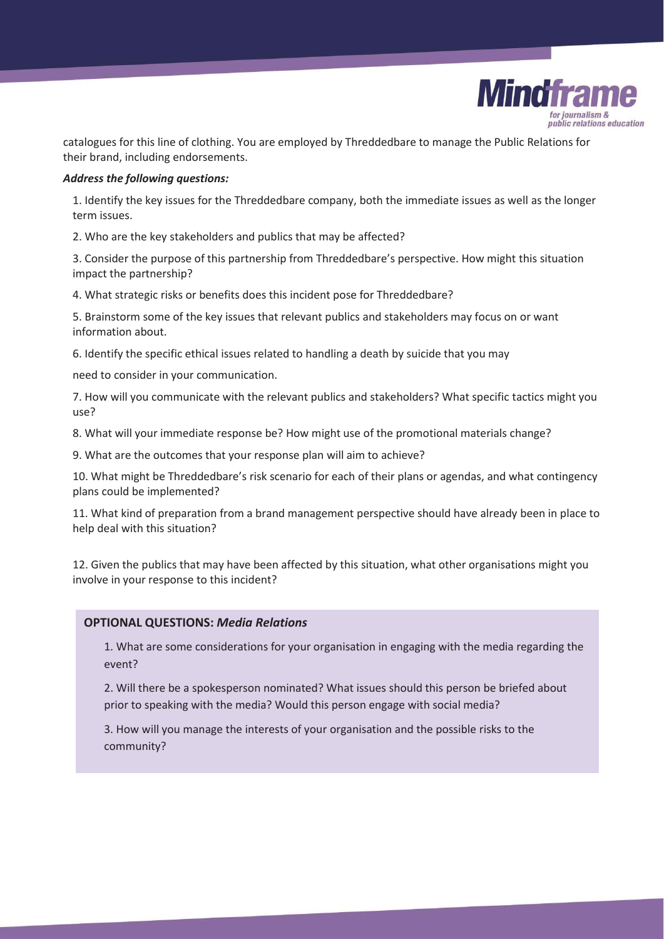

catalogues for this line of clothing. You are employed by Threddedbare to manage the Public Relations for their brand, including endorsements.

## *Address the following questions:*

1. Identify the key issues for the Threddedbare company, both the immediate issues as well as the longer term issues.

2. Who are the key stakeholders and publics that may be affected?

3. Consider the purpose of this partnership from Threddedbare's perspective. How might this situation impact the partnership?

4. What strategic risks or benefits does this incident pose for Threddedbare?

5. Brainstorm some of the key issues that relevant publics and stakeholders may focus on or want information about.

6. Identify the specific ethical issues related to handling a death by suicide that you may

need to consider in your communication.

7. How will you communicate with the relevant publics and stakeholders? What specific tactics might you use?

8. What will your immediate response be? How might use of the promotional materials change?

9. What are the outcomes that your response plan will aim to achieve?

10. What might be Threddedbare's risk scenario for each of their plans or agendas, and what contingency plans could be implemented?

11. What kind of preparation from a brand management perspective should have already been in place to help deal with this situation?

12. Given the publics that may have been affected by this situation, what other organisations might you involve in your response to this incident?

## **OPTIONAL QUESTIONS:** *Media Relations*

1. What are some considerations for your organisation in engaging with the media regarding the event?

2. Will there be a spokesperson nominated? What issues should this person be briefed about prior to speaking with the media? Would this person engage with social media?

3. How will you manage the interests of your organisation and the possible risks to the community?